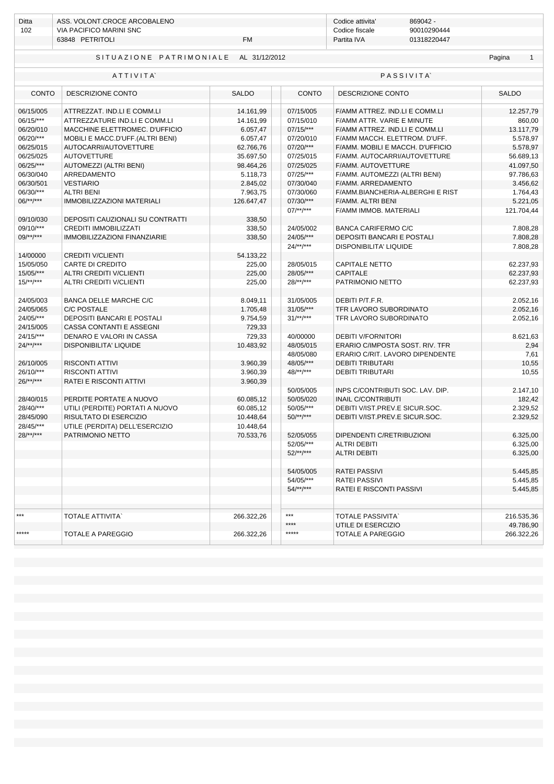| Ditta | ASS. VOLONT.CROCE ARCOBALENO |           | Codice attivita' | 869042 -    |
|-------|------------------------------|-----------|------------------|-------------|
| 102   | VIA PACIFICO MARINI SNC      |           | Codice fiscale   | 90010290444 |
|       | 63848 PETRITOLI              | <b>FM</b> | Partita IVA      | 01318220447 |
|       |                              |           |                  |             |

## SITUAZIONE PATRIMONIALE AL 31/12/2012

## Pagina

1

|              | ATTIVITA                          | <b>PASSIVITA</b> |              |                                  |              |  |
|--------------|-----------------------------------|------------------|--------------|----------------------------------|--------------|--|
| CONTO        | DESCRIZIONE CONTO                 | <b>SALDO</b>     | <b>CONTO</b> | DESCRIZIONE CONTO                | <b>SALDO</b> |  |
| 06/15/005    | ATTREZZAT. IND.LI E COMM.LI       | 14.161,99        | 07/15/005    | F/AMM ATTREZ. IND.LI E COMM.LI   | 12.257,79    |  |
| 06/15/***    | ATTREZZATURE IND.LI E COMM.LI     | 14.161,99        | 07/15/010    | F/AMM ATTR. VARIE E MINUTE       | 860,00       |  |
| 06/20/010    | MACCHINE ELETTROMEC. D'UFFICIO    | 6.057,47         | $07/15$ /*** | F/AMM ATTREZ. IND.LI E COMM.LI   | 13.117,79    |  |
| 06/20/***    | MOBILI E MACC.D'UFF.(ALTRI BENI)  | 6.057,47         | 07/20/010    | F/AMM MACCH. ELETTROM. D'UFF.    | 5.578,97     |  |
| 06/25/015    | AUTOCARRI/AUTOVETTURE             | 62.766,76        | 07/20/***    | F/AMM. MOBILI E MACCH. D'UFFICIO | 5.578,97     |  |
| 06/25/025    | <b>AUTOVETTURE</b>                | 35.697,50        | 07/25/015    | F/AMM. AUTOCARRI/AUTOVETTURE     | 56.689,13    |  |
| 06/25/***    | AUTOMEZZI (ALTRI BENI)            | 98.464,26        | 07/25/025    | F/AMM. AUTOVETTURE               | 41.097,50    |  |
| 06/30/040    | ARREDAMENTO                       | 5.118,73         | 07/25/***    | F/AMM. AUTOMEZZI (ALTRI BENI)    | 97.786,63    |  |
| 06/30/501    | <b>VESTIARIO</b>                  | 2.845,02         | 07/30/040    | F/AMM. ARREDAMENTO               | 3.456,62     |  |
| 06/30/***    | <b>ALTRI BENI</b>                 | 7.963,75         | 07/30/060    | F/AMM.BIANCHERIA-ALBERGHI E RIST | 1.764,43     |  |
| $06$ /**/*** | <b>IMMOBILIZZAZIONI MATERIALI</b> | 126.647,47       | 07/30/***    | F/AMM. ALTRI BENI                | 5.221,05     |  |
|              |                                   |                  | $07$ /**/*** | F/AMM IMMOB. MATERIALI           | 121.704,44   |  |
| 09/10/030    | DEPOSITI CAUZIONALI SU CONTRATTI  | 338,50           |              |                                  |              |  |
| 09/10/***    | <b>CREDITI IMMOBILIZZATI</b>      | 338,50           | 24/05/002    | <b>BANCA CARIFERMO C/C</b>       | 7.808,28     |  |
| $09$ /**/*** | IMMOBILIZZAZIONI FINANZIARIE      | 338,50           | 24/05/***    | DEPOSITI BANCARI E POSTALI       | 7.808,28     |  |
|              |                                   |                  | $24$ /**/*** | <b>DISPONIBILITA' LIQUIDE</b>    | 7.808,28     |  |
| 14/00000     | <b>CREDITI V/CLIENTI</b>          | 54.133,22        |              |                                  |              |  |
| 15/05/050    | <b>CARTE DI CREDITO</b>           | 225,00           | 28/05/015    | <b>CAPITALE NETTO</b>            | 62.237,93    |  |
| 15/05/***    | ALTRI CREDITI V/CLIENTI           | 225,00           | 28/05/***    | <b>CAPITALE</b>                  | 62.237,93    |  |
| $15$ /**/*** | ALTRI CREDITI V/CLIENTI           | 225,00           | $28$ /**/*** | PATRIMONIO NETTO                 | 62.237,93    |  |
|              |                                   |                  |              |                                  |              |  |
| 24/05/003    | BANCA DELLE MARCHE C/C            | 8.049,11         | 31/05/005    | DEBITI P/T.F.R.                  | 2.052,16     |  |
| 24/05/065    | <b>C/C POSTALE</b>                | 1.705,48         | $31/05$ /*** | TFR LAVORO SUBORDINATO           | 2.052,16     |  |
| 24/05/***    | <b>DEPOSITI BANCARI E POSTALI</b> | 9.754,59         | $31$ /**/*** | TFR LAVORO SUBORDINATO           | 2.052,16     |  |
| 24/15/005    | <b>CASSA CONTANTI E ASSEGNI</b>   | 729.33           |              |                                  |              |  |
| 24/15/***    | DENARO E VALORI IN CASSA          | 729,33           | 40/00000     | <b>DEBITI V/FORNITORI</b>        | 8.621,63     |  |
| $24$ /**/*** | <b>DISPONIBILITA' LIQUIDE</b>     | 10.483,92        | 48/05/015    | ERARIO C/IMPOSTA SOST. RIV. TFR  | 2,94         |  |
|              |                                   |                  | 48/05/080    | ERARIO C/RIT. LAVORO DIPENDENTE  | 7,61         |  |
| 26/10/005    | <b>RISCONTI ATTIVI</b>            | 3.960,39         | 48/05/***    | <b>DEBITI TRIBUTARI</b>          | 10,55        |  |
| 26/10/***    | <b>RISCONTI ATTIVI</b>            | 3.960,39         | 48/**/***    | <b>DEBITI TRIBUTARI</b>          | 10,55        |  |
| $26$ /**/*** | RATEI E RISCONTI ATTIVI           | 3.960,39         |              |                                  |              |  |
|              |                                   |                  | 50/05/005    | INPS C/CONTRIBUTI SOC. LAV. DIP. | 2.147,10     |  |
| 28/40/015    | PERDITE PORTATE A NUOVO           | 60.085,12        | 50/05/020    | <b>INAIL C/CONTRIBUTI</b>        | 182,42       |  |
| 28/40/***    | UTILI (PERDITE) PORTATI A NUOVO   | 60.085,12        | 50/05/***    | DEBITI V/IST.PREV.E SICUR.SOC.   | 2.329,52     |  |
| 28/45/090    | RISULTATO DI ESERCIZIO            | 10.448,64        | $50$ /**/*** | DEBITI V/IST.PREV.E SICUR.SOC.   | 2.329,52     |  |
| 28/45/***    | UTILE (PERDITA) DELL'ESERCIZIO    | 10.448,64        |              |                                  |              |  |
| $28$ /**/*** | PATRIMONIO NETTO                  | 70.533,76        | 52/05/055    | DIPENDENTI C/RETRIBUZIONI        | 6.325,00     |  |
|              |                                   |                  | 52/05/***    | <b>ALTRI DEBITI</b>              | 6.325,00     |  |
|              |                                   |                  | $52$ /**/*** | <b>ALTRI DEBITI</b>              | 6.325,00     |  |
|              |                                   |                  |              |                                  |              |  |
|              |                                   |                  | 54/05/005    | <b>RATEI PASSIVI</b>             | 5.445.85     |  |
|              |                                   |                  | 54/05/***    | <b>RATEI PASSIVI</b>             | 5.445.85     |  |
|              |                                   |                  | $54$ /**/*** | RATEI E RISCONTI PASSIVI         | 5.445,85     |  |
|              |                                   |                  |              |                                  |              |  |
| $***$        | <b>TOTALE ATTIVITA'</b>           | 266.322,26       | $***$        | <b>TOTALE PASSIVITA</b>          | 216.535,36   |  |
|              |                                   |                  | ****         | UTILE DI ESERCIZIO               | 49.786,90    |  |
| *****        | <b>TOTALE A PAREGGIO</b>          | 266.322.26       | *****        | <b>TOTALE A PAREGGIO</b>         | 266.322,26   |  |
|              |                                   |                  |              |                                  |              |  |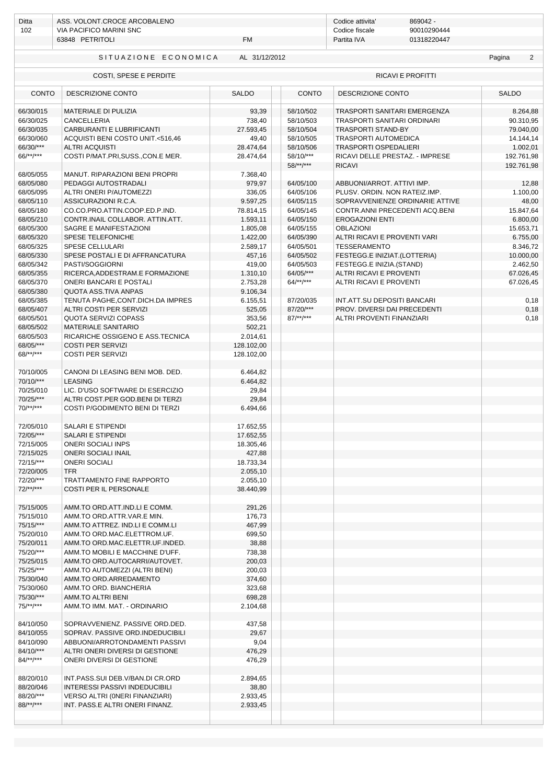| Ditta                                       | ASS. VOLONT.CROCE ARCOBALENO                                       |                      |                        | Codice attivita'<br>869042 -                     |                          |  |
|---------------------------------------------|--------------------------------------------------------------------|----------------------|------------------------|--------------------------------------------------|--------------------------|--|
| 102                                         | <b>VIA PACIFICO MARINI SNC</b>                                     |                      |                        | 90010290444<br>Codice fiscale                    |                          |  |
|                                             | <b>FM</b><br>63848 PETRITOLI                                       |                      |                        | 01318220447<br>Partita IVA                       |                          |  |
| AL 31/12/2012<br>SITUAZIONE ECONOMICA       |                                                                    |                      |                        |                                                  | $\overline{2}$<br>Pagina |  |
| RICAVI E PROFITTI<br>COSTI, SPESE E PERDITE |                                                                    |                      |                        |                                                  |                          |  |
|                                             | <b>CONTO</b><br>DESCRIZIONE CONTO                                  |                      | <b>CONTO</b>           | DESCRIZIONE CONTO                                | <b>SALDO</b>             |  |
| 66/30/015                                   | <b>MATERIALE DI PULIZIA</b>                                        | 93,39                | 58/10/502              | TRASPORTI SANITARI EMERGENZA                     | 8.264,88                 |  |
| 66/30/025                                   | <b>CANCELLERIA</b>                                                 | 738,40               | 58/10/503              | TRASPORTI SANITARI ORDINARI                      | 90.310,95                |  |
| 66/30/035                                   | CARBURANTI E LUBRIFICANTI                                          | 27.593,45            | 58/10/504              | <b>TRASPORTI STAND-BY</b>                        | 79.040,00                |  |
| 66/30/060                                   | ACQUISTI BENI COSTO UNIT.<516,46                                   | 49,40                | 58/10/505              | TRASPORTI AUTOMEDICA                             | 14.144,14                |  |
| 66/30/***                                   | <b>ALTRI ACQUISTI</b>                                              | 28.474,64            | 58/10/506              | <b>TRASPORTI OSPEDALIERI</b>                     | 1.002,01                 |  |
| $66$ /**/***                                | COSTI P/MAT.PRI, SUSS., CON.E MER.                                 | 28.474,64            | 58/10/***              | RICAVI DELLE PRESTAZ. - IMPRESE                  | 192.761,98               |  |
|                                             |                                                                    |                      | $58$ /**/***           | <b>RICAVI</b>                                    | 192.761,98               |  |
| 68/05/055                                   | MANUT. RIPARAZIONI BENI PROPRI                                     | 7.368,40             |                        |                                                  |                          |  |
| 68/05/080                                   | PEDAGGI AUTOSTRADALI                                               | 979,97               | 64/05/100              | ABBUONI/ARROT. ATTIVI IMP.                       | 12,88                    |  |
| 68/05/095                                   | ALTRI ONERI P/AUTOMEZZI                                            | 336,05               | 64/05/106              | PLUSV. ORDIN. NON RATEIZ.IMP.                    | 1.100,00                 |  |
| 68/05/110                                   | ASSICURAZIONI R.C.A.                                               | 9.597,25             | 64/05/115              | SOPRAVVENIENZE ORDINARIE ATTIVE                  | 48,00                    |  |
| 68/05/180                                   | CO.CO.PRO.ATTIN.COOP.ED.P.IND.<br>CONTR.INAIL COLLABOR. ATTIN.ATT. | 78.814,15            | 64/05/145              | CONTR.ANNI PRECEDENTI ACO.BENI                   | 15.847,64                |  |
| 68/05/210                                   | SAGRE E MANIFESTAZIONI                                             | 1.593,11             | 64/05/150              | <b>EROGAZIONI ENTI</b>                           | 6.800,00                 |  |
| 68/05/300<br>68/05/320                      | SPESE TELEFONICHE                                                  | 1.805,08             | 64/05/155<br>64/05/390 | <b>OBLAZIONI</b><br>ALTRI RICAVI E PROVENTI VARI | 15.653,71<br>6.755,00    |  |
| 68/05/325                                   | <b>SPESE CELLULARI</b>                                             | 1.422,00<br>2.589,17 | 64/05/501              | <b>TESSERAMENTO</b>                              | 8.346,72                 |  |
| 68/05/330                                   | SPESE POSTALI E DI AFFRANCATURA                                    | 457,16               | 64/05/502              | FESTEGG.E INIZIAT.(LOTTERIA)                     | 10.000,00                |  |
| 68/05/342                                   | PASTI/SOGGIORNI                                                    | 419,00               | 64/05/503              | FESTEGG.E INIZIA.(STAND)                         | 2.462,50                 |  |
| 68/05/355                                   | RICERCA, ADDESTRAM.E FORMAZIONE                                    | 1.310,10             | 64/05/***              | ALTRI RICAVI E PROVENTI                          | 67.026,45                |  |
| 68/05/370                                   | ONERI BANCARI E POSTALI                                            | 2.753,28             | $64$ /**/***           | ALTRI RICAVI E PROVENTI                          | 67.026,45                |  |
| 68/05/380                                   | <b>QUOTA ASS.TIVA ANPAS</b>                                        | 9.106,34             |                        |                                                  |                          |  |
| 68/05/385                                   | TENUTA PAGHE, CONT. DICH. DA IMPRES                                | 6.155,51             | 87/20/035              | INT.ATT.SU DEPOSITI BANCARI                      | 0,18                     |  |
| 68/05/407                                   | ALTRI COSTI PER SERVIZI                                            | 525,05               | 87/20/***              | PROV. DIVERSI DAI PRECEDENTI                     | 0,18                     |  |
| 68/05/501                                   | <b>QUOTA SERVIZI COPASS</b>                                        | 353,56               | $87$ /**/***           | ALTRI PROVENTI FINANZIARI                        | 0,18                     |  |
| 68/05/502                                   | <b>MATERIALE SANITARIO</b>                                         | 502,21               |                        |                                                  |                          |  |
| 68/05/503                                   | RICARICHE OSSIGENO E ASS.TECNICA                                   | 2.014,61             |                        |                                                  |                          |  |
| 68/05/***                                   | <b>COSTI PER SERVIZI</b>                                           | 128.102,00           |                        |                                                  |                          |  |
| $68$ /**/***                                | <b>COSTI PER SERVIZI</b>                                           | 128.102,00           |                        |                                                  |                          |  |
|                                             |                                                                    |                      |                        |                                                  |                          |  |
| 70/10/005                                   | CANONI DI LEASING BENI MOB. DED.                                   | 6.464,82             |                        |                                                  |                          |  |
| 70/10/***                                   | <b>LEASING</b>                                                     | 6.464,82             |                        |                                                  |                          |  |
| 70/25/010                                   | LIC. D'USO SOFTWARE DI ESERCIZIO                                   | 29,84                |                        |                                                  |                          |  |
| 70/25/***                                   | ALTRI COST.PER GOD.BENI DI TERZI                                   | 29,84                |                        |                                                  |                          |  |
| $70$ /**/***                                | COSTI P/GODIMENTO BENI DI TERZI                                    | 6.494,66             |                        |                                                  |                          |  |
|                                             |                                                                    |                      |                        |                                                  |                          |  |
| 72/05/010                                   | <b>SALARI E STIPENDI</b>                                           | 17.652,55            |                        |                                                  |                          |  |
| 72/05/***                                   | SALARI E STIPENDI                                                  | 17.652,55            |                        |                                                  |                          |  |
| 72/15/005<br>72/15/025                      | <b>ONERI SOCIALI INPS</b><br><b>ONERI SOCIALI INAIL</b>            | 18.305,46<br>427,88  |                        |                                                  |                          |  |
| 72/15/***                                   | <b>ONERI SOCIALI</b>                                               | 18.733,34            |                        |                                                  |                          |  |
| 72/20/005                                   | <b>TFR</b>                                                         | 2.055,10             |                        |                                                  |                          |  |
| 72/20/***                                   | <b>TRATTAMENTO FINE RAPPORTO</b>                                   | 2.055,10             |                        |                                                  |                          |  |
| $72$ /**/***                                | <b>COSTI PER IL PERSONALE</b>                                      | 38.440,99            |                        |                                                  |                          |  |
|                                             |                                                                    |                      |                        |                                                  |                          |  |
| 75/15/005                                   | AMM.TO ORD.ATT.IND.LI E COMM.                                      | 291,26               |                        |                                                  |                          |  |
| 75/15/010                                   | AMM.TO ORD.ATTR.VAR.E MIN.                                         | 176,73               |                        |                                                  |                          |  |
| 75/15/***                                   | AMM.TO ATTREZ. IND.LI E COMM.LI                                    | 467,99               |                        |                                                  |                          |  |
| 75/20/010                                   | AMM.TO ORD.MAC.ELETTROM.UF.                                        | 699,50               |                        |                                                  |                          |  |
| 75/20/011                                   | AMM.TO ORD.MAC.ELETTR.UF.INDED.                                    | 38,88                |                        |                                                  |                          |  |
| 75/20/***                                   | AMM.TO MOBILI E MACCHINE D'UFF.                                    | 738,38               |                        |                                                  |                          |  |
| 75/25/015                                   | AMM.TO ORD.AUTOCARRI/AUTOVET.                                      | 200,03               |                        |                                                  |                          |  |
| 75/25/***                                   | AMM.TO AUTOMEZZI (ALTRI BENI)                                      | 200,03               |                        |                                                  |                          |  |
| 75/30/040                                   | AMM.TO ORD.ARREDAMENTO                                             | 374,60               |                        |                                                  |                          |  |
| 75/30/060<br>75/30/***                      | AMM.TO ORD. BIANCHERIA                                             | 323,68<br>698,28     |                        |                                                  |                          |  |
| $75$ /**/***                                | AMM.TO ALTRI BENI<br>AMM.TO IMM. MAT. - ORDINARIO                  | 2.104,68             |                        |                                                  |                          |  |
|                                             |                                                                    |                      |                        |                                                  |                          |  |
| 84/10/050                                   | SOPRAVVENIENZ. PASSIVE ORD.DED.                                    | 437,58               |                        |                                                  |                          |  |
| 84/10/055                                   | SOPRAV. PASSIVE ORD.INDEDUCIBILI                                   | 29,67                |                        |                                                  |                          |  |
| 84/10/090                                   | ABBUONI/ARROTONDAMENTI PASSIVI                                     | 9,04                 |                        |                                                  |                          |  |
| 84/10/***                                   | ALTRI ONERI DIVERSI DI GESTIONE                                    | 476,29               |                        |                                                  |                          |  |
| $84$ /**/***                                | ONERI DIVERSI DI GESTIONE                                          | 476,29               |                        |                                                  |                          |  |
|                                             |                                                                    |                      |                        |                                                  |                          |  |
| 88/20/010                                   | INT.PASS.SUI DEB.V/BAN.DI CR.ORD                                   | 2.894,65             |                        |                                                  |                          |  |
| 88/20/046                                   | <b>INTERESSI PASSIVI INDEDUCIBILI</b>                              | 38,80                |                        |                                                  |                          |  |
| 88/20/***                                   | VERSO ALTRI (ONERI FINANZIARI)                                     | 2.933,45             |                        |                                                  |                          |  |
| $88$ /**/***                                | INT. PASS.E ALTRI ONERI FINANZ.                                    | 2.933,45             |                        |                                                  |                          |  |
|                                             |                                                                    |                      |                        |                                                  |                          |  |